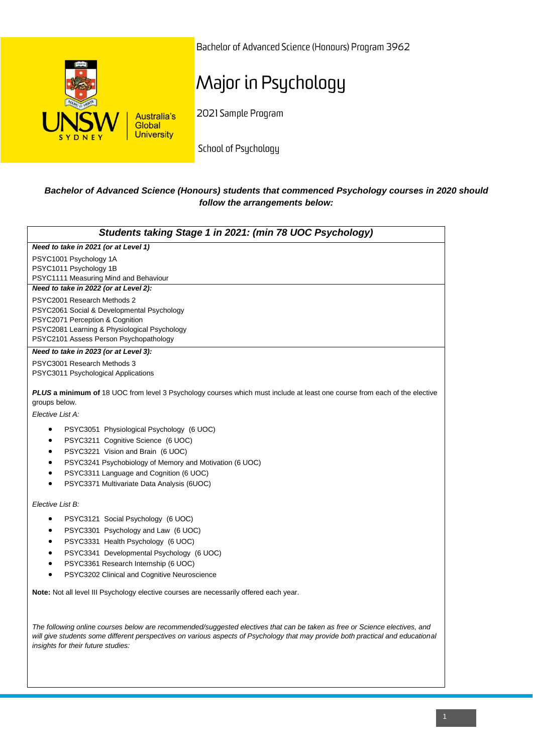

Bachelor of Advanced Science (Honours) Program 3962

# Major in Psychology

2021 Sample Program

School of Psychology

### *Bachelor of Advanced Science (Honours) students that commenced Psychology courses in 2020 should follow the arrangements below:*

| Students taking Stage 1 in 2021: (min 78 UOC Psychology)                                                                                                                                                                                                                                                                                               |
|--------------------------------------------------------------------------------------------------------------------------------------------------------------------------------------------------------------------------------------------------------------------------------------------------------------------------------------------------------|
| Need to take in 2021 (or at Level 1)                                                                                                                                                                                                                                                                                                                   |
| PSYC1001 Psychology 1A<br>PSYC1011 Psychology 1B<br>PSYC1111 Measuring Mind and Behaviour                                                                                                                                                                                                                                                              |
| Need to take in 2022 (or at Level 2):                                                                                                                                                                                                                                                                                                                  |
| PSYC2001 Research Methods 2<br>PSYC2061 Social & Developmental Psychology<br>PSYC2071 Perception & Cognition<br>PSYC2081 Learning & Physiological Psychology<br>PSYC2101 Assess Person Psychopathology                                                                                                                                                 |
| Need to take in 2023 (or at Level 3):                                                                                                                                                                                                                                                                                                                  |
| PSYC3001 Research Methods 3<br>PSYC3011 Psychological Applications                                                                                                                                                                                                                                                                                     |
| <b>PLUS a minimum of</b> 18 UOC from level 3 Psychology courses which must include at least one course from each of the elective<br>groups below.                                                                                                                                                                                                      |
| Elective List A:                                                                                                                                                                                                                                                                                                                                       |
| PSYC3051 Physiological Psychology (6 UOC)<br>$\bullet$<br>PSYC3211 Cognitive Science (6 UOC)<br>$\bullet$<br>PSYC3221 Vision and Brain (6 UOC)<br>$\bullet$<br>PSYC3241 Psychobiology of Memory and Motivation (6 UOC)<br>$\bullet$<br>PSYC3311 Language and Cognition (6 UOC)<br>$\bullet$<br>PSYC3371 Multivariate Data Analysis (6UOC)<br>$\bullet$ |
| Elective List B:                                                                                                                                                                                                                                                                                                                                       |
| PSYC3121 Social Psychology (6 UOC)<br>$\bullet$<br>PSYC3301 Psychology and Law (6 UOC)<br>$\bullet$<br>PSYC3331 Health Psychology (6 UOC)<br>$\bullet$<br>PSYC3341 Developmental Psychology (6 UOC)<br>$\bullet$<br>PSYC3361 Research Internship (6 UOC)<br>PSYC3202 Clinical and Cognitive Neuroscience<br>$\bullet$                                  |
| Note: Not all level III Psychology elective courses are necessarily offered each year.                                                                                                                                                                                                                                                                 |
| The following online courses below are recommended/suggested electives that can be taken as free or Science electives, and<br>will give students some different perspectives on various aspects of Psychology that may provide both practical and educational<br>insights for their future studies:                                                    |